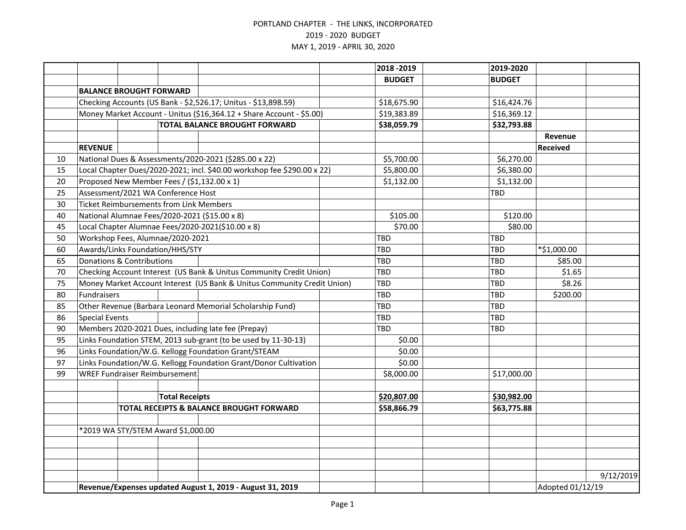|    |                                                                         |                                                |                       |                                                                         |  | 2018 - 2019   | 2019-2020     |                  |           |  |
|----|-------------------------------------------------------------------------|------------------------------------------------|-----------------------|-------------------------------------------------------------------------|--|---------------|---------------|------------------|-----------|--|
|    |                                                                         |                                                |                       |                                                                         |  | <b>BUDGET</b> | <b>BUDGET</b> |                  |           |  |
|    |                                                                         | <b>BALANCE BROUGHT FORWARD</b>                 |                       |                                                                         |  |               |               |                  |           |  |
|    |                                                                         |                                                |                       | Checking Accounts (US Bank - \$2,526.17; Unitus - \$13,898.59)          |  | \$18,675.90   | \$16,424.76   |                  |           |  |
|    |                                                                         |                                                |                       | Money Market Account - Unitus (\$16,364.12 + Share Account - \$5.00)    |  | \$19,383.89   | \$16,369.12   |                  |           |  |
|    | <b>TOTAL BALANCE BROUGHT FORWARD</b>                                    |                                                |                       |                                                                         |  | \$38,059.79   | \$32,793.88   |                  |           |  |
|    |                                                                         |                                                |                       |                                                                         |  |               |               | Revenue          |           |  |
|    | <b>REVENUE</b>                                                          |                                                |                       |                                                                         |  |               |               | <b>Received</b>  |           |  |
| 10 |                                                                         |                                                |                       | National Dues & Assessments/2020-2021 (\$285.00 x 22)                   |  | \$5,700.00    | \$6,270.00    |                  |           |  |
| 15 |                                                                         |                                                |                       | Local Chapter Dues/2020-2021; incl. \$40.00 workshop fee \$290.00 x 22) |  | \$5,800.00    | \$6,380.00    |                  |           |  |
| 20 |                                                                         |                                                |                       | Proposed New Member Fees / (\$1,132.00 x 1)                             |  | \$1,132.00    | \$1,132.00    |                  |           |  |
| 25 |                                                                         | Assessment/2021 WA Conference Host             |                       |                                                                         |  |               | TBD           |                  |           |  |
| 30 |                                                                         | <b>Ticket Reimbursements from Link Members</b> |                       |                                                                         |  |               |               |                  |           |  |
| 40 |                                                                         |                                                |                       | National Alumnae Fees/2020-2021 (\$15.00 x 8)                           |  | \$105.00      | \$120.00      |                  |           |  |
| 45 |                                                                         |                                                |                       | Local Chapter Alumnae Fees/2020-2021(\$10.00 x 8)                       |  | \$70.00       | \$80.00       |                  |           |  |
| 50 |                                                                         | Workshop Fees, Alumnae/2020-2021               |                       |                                                                         |  | <b>TBD</b>    | TBD           |                  |           |  |
| 60 |                                                                         | Awards/Links Foundation/HHS/STY                |                       |                                                                         |  | TBD           | TBD           | *\$1,000.00      |           |  |
| 65 |                                                                         | <b>Donations &amp; Contributions</b>           |                       |                                                                         |  | TBD           | TBD           | \$85.00          |           |  |
| 70 |                                                                         |                                                |                       | Checking Account Interest (US Bank & Unitus Community Credit Union)     |  | TBD           | <b>TBD</b>    | \$1.65           |           |  |
| 75 | Money Market Account Interest (US Bank & Unitus Community Credit Union) |                                                |                       |                                                                         |  | TBD           | <b>TBD</b>    | \$8.26           |           |  |
| 80 | Fundraisers                                                             |                                                |                       |                                                                         |  | TBD           | <b>TBD</b>    | \$200.00         |           |  |
| 85 |                                                                         |                                                |                       | Other Revenue (Barbara Leonard Memorial Scholarship Fund)               |  | TBD           | <b>TBD</b>    |                  |           |  |
| 86 | <b>Special Events</b>                                                   |                                                |                       |                                                                         |  | TBD           | TBD           |                  |           |  |
| 90 |                                                                         |                                                |                       | Members 2020-2021 Dues, including late fee (Prepay)                     |  | TBD           | TBD           |                  |           |  |
| 95 |                                                                         |                                                |                       | Links Foundation STEM, 2013 sub-grant (to be used by 11-30-13)          |  | \$0.00        |               |                  |           |  |
| 96 |                                                                         |                                                |                       | Links Foundation/W.G. Kellogg Foundation Grant/STEAM                    |  | \$0.00        |               |                  |           |  |
| 97 |                                                                         |                                                |                       | Links Foundation/W.G. Kellogg Foundation Grant/Donor Cultivation        |  | \$0.00        |               |                  |           |  |
| 99 |                                                                         | <b>WREF Fundraiser Reimbursement</b>           |                       |                                                                         |  | \$8,000.00    | \$17,000.00   |                  |           |  |
|    |                                                                         |                                                |                       |                                                                         |  |               |               |                  |           |  |
|    |                                                                         |                                                | <b>Total Receipts</b> |                                                                         |  | \$20,807.00   | \$30,982.00   |                  |           |  |
|    |                                                                         |                                                |                       | TOTAL RECEIPTS & BALANCE BROUGHT FORWARD                                |  | \$58,866.79   | \$63,775.88   |                  |           |  |
|    |                                                                         |                                                |                       |                                                                         |  |               |               |                  |           |  |
|    |                                                                         | *2019 WA STY/STEM Award \$1,000.00             |                       |                                                                         |  |               |               |                  |           |  |
|    |                                                                         |                                                |                       |                                                                         |  |               |               |                  |           |  |
|    |                                                                         |                                                |                       |                                                                         |  |               |               |                  |           |  |
|    |                                                                         |                                                |                       |                                                                         |  |               |               |                  |           |  |
|    |                                                                         |                                                |                       |                                                                         |  |               |               |                  | 9/12/2019 |  |
|    | Revenue/Expenses updated August 1, 2019 - August 31, 2019               |                                                |                       |                                                                         |  |               |               | Adopted 01/12/19 |           |  |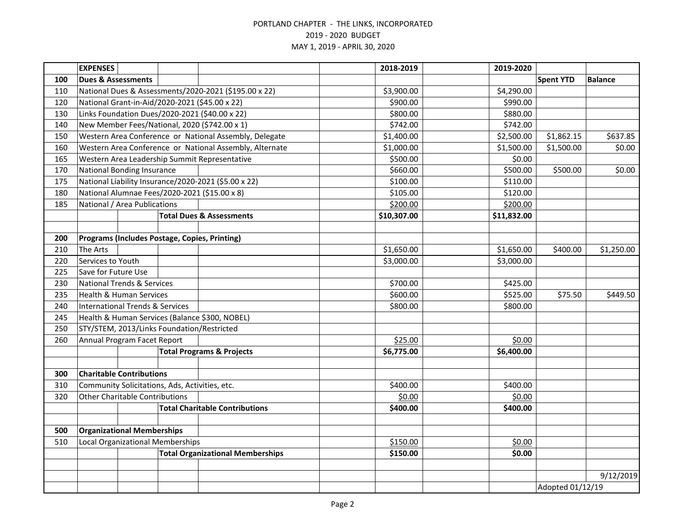|     | <b>EXPENSES</b>                                |  |  |                                                         |            | 2018-2019   | 2019-2020        |                  |                |
|-----|------------------------------------------------|--|--|---------------------------------------------------------|------------|-------------|------------------|------------------|----------------|
| 100 | <b>Dues &amp; Assessments</b>                  |  |  |                                                         |            |             |                  | <b>Spent YTD</b> | <b>Balance</b> |
| 110 |                                                |  |  | National Dues & Assessments/2020-2021 (\$195.00 x 22)   |            | \$3,900.00  | \$4,290.00       |                  |                |
| 120 | National Grant-in-Aid/2020-2021 (\$45.00 x 22) |  |  |                                                         |            | \$900.00    | \$990.00         |                  |                |
| 130 |                                                |  |  | Links Foundation Dues/2020-2021 (\$40.00 x 22)          |            | \$800.00    | \$880.00         |                  |                |
| 140 |                                                |  |  | New Member Fees/National, 2020 (\$742.00 x 1)           |            | \$742.00    | \$742.00         |                  |                |
| 150 |                                                |  |  | Western Area Conference or National Assembly, Delegate  |            | \$1,400.00  | \$2,500.00       | \$1,862.15       | \$637.85       |
| 160 |                                                |  |  | Western Area Conference or National Assembly, Alternate |            | \$1,000.00  | \$1,500.00       | \$1,500.00       | \$0.00         |
| 165 |                                                |  |  | Western Area Leadership Summit Representative           |            | \$500.00    | \$0.00           |                  |                |
| 170 | <b>National Bonding Insurance</b>              |  |  |                                                         |            | \$660.00    | \$500.00         | \$500.00         | \$0.00         |
| 175 |                                                |  |  | National Liability Insurance/2020-2021 (\$5.00 x 22)    |            | \$100.00    | \$110.00         |                  |                |
| 180 | National Alumnae Fees/2020-2021 (\$15.00 x 8)  |  |  |                                                         |            | \$105.00    | \$120.00         |                  |                |
| 185 | National / Area Publications                   |  |  |                                                         |            | \$200.00    | \$200.00         |                  |                |
|     |                                                |  |  | <b>Total Dues &amp; Assessments</b>                     |            | \$10,307.00 | \$11,832.00      |                  |                |
|     |                                                |  |  |                                                         |            |             |                  |                  |                |
| 200 | Programs (Includes Postage, Copies, Printing)  |  |  |                                                         |            |             |                  |                  |                |
| 210 | The Arts                                       |  |  |                                                         |            | \$1,650.00  | \$1,650.00       | \$400.00         | \$1,250.00     |
| 220 | Services to Youth                              |  |  |                                                         |            | \$3,000.00  | \$3,000.00       |                  |                |
| 225 | Save for Future Use                            |  |  |                                                         |            |             |                  |                  |                |
| 230 | <b>National Trends &amp; Services</b>          |  |  |                                                         |            | \$700.00    | \$425.00         |                  |                |
| 235 | <b>Health &amp; Human Services</b>             |  |  |                                                         |            | \$600.00    | \$525.00         | \$75.50          | \$449.50       |
| 240 | <b>International Trends &amp; Services</b>     |  |  |                                                         |            | \$800.00    | \$800.00         |                  |                |
| 245 |                                                |  |  | Health & Human Services (Balance \$300, NOBEL)          |            |             |                  |                  |                |
| 250 | STY/STEM, 2013/Links Foundation/Restricted     |  |  |                                                         |            |             |                  |                  |                |
| 260 | Annual Program Facet Report                    |  |  |                                                         | \$25.00    | \$0.00      |                  |                  |                |
|     | <b>Total Programs &amp; Projects</b>           |  |  | \$6,775.00                                              | \$6,400.00 |             |                  |                  |                |
|     |                                                |  |  |                                                         |            |             |                  |                  |                |
| 300 | <b>Charitable Contributions</b>                |  |  |                                                         |            |             |                  |                  |                |
| 310 | Community Solicitations, Ads, Activities, etc. |  |  |                                                         |            | \$400.00    | \$400.00         |                  |                |
| 320 | <b>Other Charitable Contributions</b>          |  |  |                                                         |            | \$0.00      | \$0.00           |                  |                |
|     |                                                |  |  | <b>Total Charitable Contributions</b>                   |            | \$400.00    | \$400.00         |                  |                |
|     |                                                |  |  |                                                         |            |             |                  |                  |                |
|     | <b>Organizational Memberships</b><br>500       |  |  |                                                         |            |             |                  |                  |                |
| 510 | Local Organizational Memberships               |  |  |                                                         | \$150.00   | \$0.00      |                  |                  |                |
|     |                                                |  |  | <b>Total Organizational Memberships</b>                 |            | \$150.00    | \$0.00           |                  |                |
|     |                                                |  |  |                                                         |            |             |                  |                  |                |
|     |                                                |  |  |                                                         |            |             |                  |                  | 9/12/2019      |
|     |                                                |  |  |                                                         |            |             | Adopted 01/12/19 |                  |                |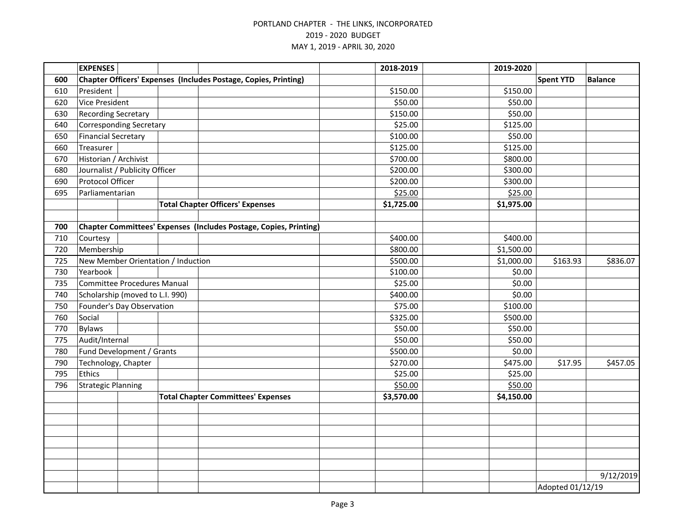|     | <b>EXPENSES</b>                    |                                |  |                                                                        |  | 2018-2019  | 2019-2020  |                  |                |  |
|-----|------------------------------------|--------------------------------|--|------------------------------------------------------------------------|--|------------|------------|------------------|----------------|--|
| 600 |                                    |                                |  | <b>Chapter Officers' Expenses (Includes Postage, Copies, Printing)</b> |  |            |            | <b>Spent YTD</b> | <b>Balance</b> |  |
| 610 | President                          |                                |  |                                                                        |  | \$150.00   | \$150.00   |                  |                |  |
| 620 | <b>Vice President</b>              |                                |  |                                                                        |  | \$50.00    | \$50.00    |                  |                |  |
| 630 | <b>Recording Secretary</b>         |                                |  |                                                                        |  | \$150.00   | \$50.00    |                  |                |  |
| 640 |                                    | <b>Corresponding Secretary</b> |  |                                                                        |  | \$25.00    | \$125.00   |                  |                |  |
| 650 | <b>Financial Secretary</b>         |                                |  |                                                                        |  | \$100.00   | \$50.00    |                  |                |  |
| 660 | Treasurer                          |                                |  |                                                                        |  | \$125.00   | \$125.00   |                  |                |  |
| 670 | Historian / Archivist              |                                |  |                                                                        |  | \$700.00   | \$800.00   |                  |                |  |
| 680 |                                    | Journalist / Publicity Officer |  |                                                                        |  | \$200.00   | \$300.00   |                  |                |  |
| 690 | Protocol Officer                   |                                |  |                                                                        |  | \$200.00   | \$300.00   |                  |                |  |
| 695 | Parliamentarian                    |                                |  |                                                                        |  | \$25.00    | \$25.00    |                  |                |  |
|     |                                    |                                |  | <b>Total Chapter Officers' Expenses</b>                                |  | \$1,725.00 | \$1,975.00 |                  |                |  |
|     |                                    |                                |  |                                                                        |  |            |            |                  |                |  |
| 700 |                                    |                                |  | Chapter Committees' Expenses (Includes Postage, Copies, Printing)      |  |            |            |                  |                |  |
| 710 | Courtesy                           |                                |  |                                                                        |  | \$400.00   | \$400.00   |                  |                |  |
| 720 | Membership                         |                                |  |                                                                        |  | \$800.00   | \$1,500.00 |                  |                |  |
| 725 | New Member Orientation / Induction |                                |  |                                                                        |  | \$500.00   | \$1,000.00 | \$163.93         | \$836.07       |  |
| 730 | Yearbook                           |                                |  |                                                                        |  | \$100.00   | \$0.00     |                  |                |  |
| 735 | <b>Committee Procedures Manual</b> |                                |  |                                                                        |  | \$25.00    | \$0.00     |                  |                |  |
| 740 | Scholarship (moved to L.I. 990)    |                                |  |                                                                        |  | \$400.00   | \$0.00     |                  |                |  |
| 750 | Founder's Day Observation          |                                |  |                                                                        |  | \$75.00    | \$100.00   |                  |                |  |
| 760 | Social                             |                                |  |                                                                        |  | \$325.00   | \$500.00   |                  |                |  |
| 770 | <b>Bylaws</b>                      |                                |  |                                                                        |  | \$50.00    | \$50.00    |                  |                |  |
| 775 | Audit/Internal                     |                                |  |                                                                        |  | \$50.00    | \$50.00    |                  |                |  |
| 780 |                                    | Fund Development / Grants      |  |                                                                        |  | \$500.00   | \$0.00     |                  |                |  |
| 790 | Technology, Chapter                |                                |  |                                                                        |  | \$270.00   | \$475.00   | \$17.95          | \$457.05       |  |
| 795 | Ethics                             |                                |  |                                                                        |  | \$25.00    | \$25.00    |                  |                |  |
| 796 | <b>Strategic Planning</b>          |                                |  |                                                                        |  | \$50.00    | \$50.00    |                  |                |  |
|     |                                    |                                |  | <b>Total Chapter Committees' Expenses</b>                              |  | \$3,570.00 | \$4,150.00 |                  |                |  |
|     |                                    |                                |  |                                                                        |  |            |            |                  |                |  |
|     |                                    |                                |  |                                                                        |  |            |            |                  |                |  |
|     |                                    |                                |  |                                                                        |  |            |            |                  |                |  |
|     |                                    |                                |  |                                                                        |  |            |            |                  |                |  |
|     |                                    |                                |  |                                                                        |  |            |            |                  |                |  |
|     |                                    |                                |  |                                                                        |  |            |            |                  |                |  |
|     |                                    |                                |  |                                                                        |  |            |            |                  | 9/12/2019      |  |
|     |                                    |                                |  |                                                                        |  |            |            | Adopted 01/12/19 |                |  |